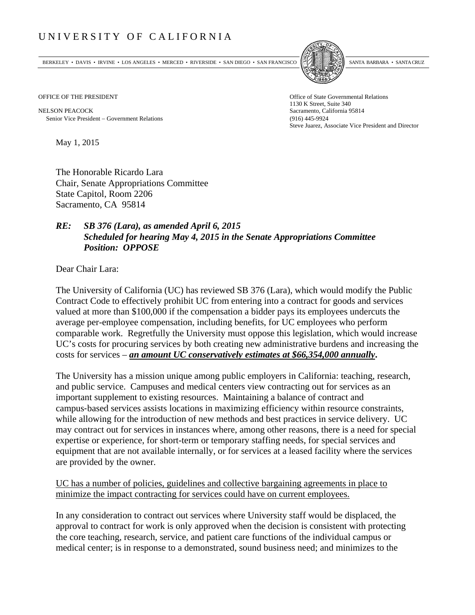## UNIVERSITY OF CALIFORNIA

BERKELEY • DAVIS • IRVINE • LOS ANGELES • MERCED • RIVERSIDE • SAN DIEGO • SAN FRANCISCO SANTA BARBARA • SANTA CRUZ



OFFICE OF THE PRESIDENT STATES OF THE PRESIDENT

NELSON PEACOCK Sacramento, California 95814 Senior Vice President Government Relations (916) 445-9924

1130 K Street, Suite 340 Steve Juarez, Associate Vice President and Director

May 1, 2015

The Honorable Ricardo Lara Chair, Senate Appropriations Committee State Capitol, Room 2206 Sacramento, CA 95814

## *RE: SB 376 (Lara), as amended April 6, 2015 Scheduled for hearing May 4, 2015 in the Senate Appropriations Committee Position: OPPOSE*

Dear Chair Lara:

The University of California (UC) has reviewed SB 376 (Lara), which would modify the Public Contract Code to effectively prohibit UC from entering into a contract for goods and services valued at more than \$100,000 if the compensation a bidder pays its employees undercuts the average per-employee compensation, including benefits, for UC employees who perform comparable work. Regretfully the University must oppose this legislation, which would increase UC's costs for procuring services by both creating new administrative burdens and increasing the costs for services – *an amount UC conservatively estimates at \$66,354,000 annually***.**

The University has a mission unique among public employers in California: teaching, research, and public service. Campuses and medical centers view contracting out for services as an important supplement to existing resources. Maintaining a balance of contract and campus‐based services assists locations in maximizing efficiency within resource constraints, while allowing for the introduction of new methods and best practices in service delivery. UC may contract out for services in instances where, among other reasons, there is a need for special expertise or experience, for short-term or temporary staffing needs, for special services and equipment that are not available internally, or for services at a leased facility where the services are provided by the owner.

UC has a number of policies, guidelines and collective bargaining agreements in place to minimize the impact contracting for services could have on current employees.

In any consideration to contract out services where University staff would be displaced, the approval to contract for work is only approved when the decision is consistent with protecting the core teaching, research, service, and patient care functions of the individual campus or medical center; is in response to a demonstrated, sound business need; and minimizes to the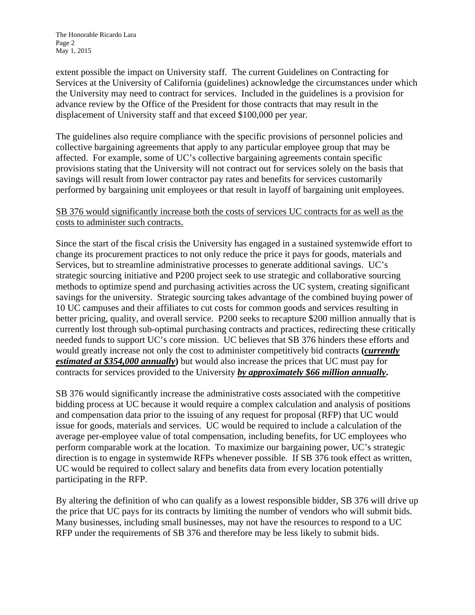extent possible the impact on University staff. The current Guidelines on Contracting for Services at the University of California (guidelines) acknowledge the circumstances under which the University may need to contract for services. Included in the guidelines is a provision for advance review by the Office of the President for those contracts that may result in the displacement of University staff and that exceed \$100,000 per year.

The guidelines also require compliance with the specific provisions of personnel policies and collective bargaining agreements that apply to any particular employee group that may be affected. For example, some of UC's collective bargaining agreements contain specific provisions stating that the University will not contract out for services solely on the basis that savings will result from lower contractor pay rates and benefits for services customarily performed by bargaining unit employees or that result in layoff of bargaining unit employees.

## SB 376 would significantly increase both the costs of services UC contracts for as well as the costs to administer such contracts.

Since the start of the fiscal crisis the University has engaged in a sustained systemwide effort to change its procurement practices to not only reduce the price it pays for goods, materials and Services, but to streamline administrative processes to generate additional savings. UC's strategic sourcing initiative and P200 project seek to use strategic and collaborative sourcing methods to optimize spend and purchasing activities across the UC system, creating significant savings for the university. Strategic sourcing takes advantage of the combined buying power of 10 UC campuses and their affiliates to cut costs for common goods and services resulting in better pricing, quality, and overall service. P200 seeks to recapture \$200 million annually that is currently lost through sub-optimal purchasing contracts and practices, redirecting these critically needed funds to support UC's core mission. UC believes that SB 376 hinders these efforts and would greatly increase not only the cost to administer competitively bid contracts **(***currently estimated at \$354,000 annually***)** but would also increase the prices that UC must pay for contracts for services provided to the University *by approximately \$66 million annually***.** 

SB 376 would significantly increase the administrative costs associated with the competitive bidding process at UC because it would require a complex calculation and analysis of positions and compensation data prior to the issuing of any request for proposal (RFP) that UC would issue for goods, materials and services. UC would be required to include a calculation of the average per-employee value of total compensation, including benefits, for UC employees who perform comparable work at the location. To maximize our bargaining power, UC's strategic direction is to engage in systemwide RFPs whenever possible. If SB 376 took effect as written, UC would be required to collect salary and benefits data from every location potentially participating in the RFP.

By altering the definition of who can qualify as a lowest responsible bidder, SB 376 will drive up the price that UC pays for its contracts by limiting the number of vendors who will submit bids. Many businesses, including small businesses, may not have the resources to respond to a UC RFP under the requirements of SB 376 and therefore may be less likely to submit bids.